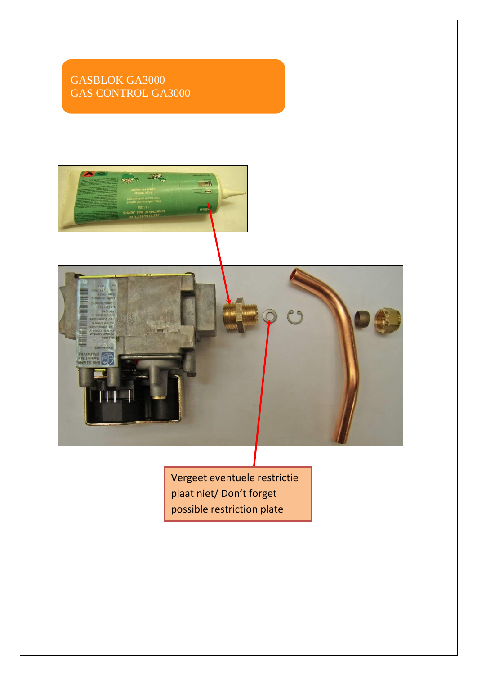# GASBLOK GA3000 GAS CONTROL GA3000



Vergeet eventuele restrictie plaat niet/ Don't forget possible restriction plate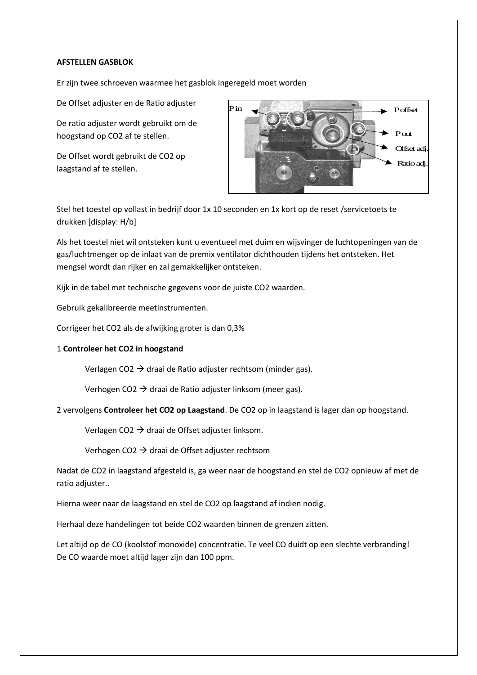### **AFSTELLEN GASBLOK**

Er zijn twee schroeven waarmee het gasblok ingeregeld moet worden

De Offset adjuster en de Ratio adjuster

De ratio adjuster wordt gebruikt om de hoogstand op CO2 af te stellen.

De Offset wordt gebruikt de CO2 op laagstand af te stellen.



Stel het toestel op vollast in bedrijf door 1x 10 seconden en 1x kort op de reset /servicetoets te drukken [display: H/b]

Als het toestel niet wil ontsteken kunt u eventueel met duim en wijsvinger de luchtopeningen van de gas/luchtmenger op de inlaat van de premix ventilator dichthouden tijdens het ontsteken. Het mengsel wordt dan rijker en zal gemakkelijker ontsteken.

Kijk in de tabel met technische gegevens voor de juiste CO2 waarden.

Gebruik gekalibreerde meetinstrumenten.

Corrigeer het CO2 als de afwijking groter is dan 0,3%

## 1 **Controleer het CO2 in hoogstand**

Verlagen CO2  $\rightarrow$  draai de Ratio adjuster rechtsom (minder gas).

Verhogen CO2  $\rightarrow$  draai de Ratio adjuster linksom (meer gas).

2 vervolgens **Controleer het CO2 op Laagstand**. De CO2 op in laagstand is lager dan op hoogstand.

Verlagen CO2  $\rightarrow$  draai de Offset adjuster linksom.

Verhogen CO2  $\rightarrow$  draai de Offset adjuster rechtsom

Nadat de CO2 in laagstand afgesteld is, ga weer naar de hoogstand en stel de CO2 opnieuw af met de ratio adjuster..

Hierna weer naar de laagstand en stel de CO2 op laagstand af indien nodig.

Herhaal deze handelingen tot beide CO2 waarden binnen de grenzen zitten.

Let altijd op de CO (koolstof monoxide) concentratie. Te veel CO duidt op een slechte verbranding! De CO waarde moet altijd lager zijn dan 100 ppm.